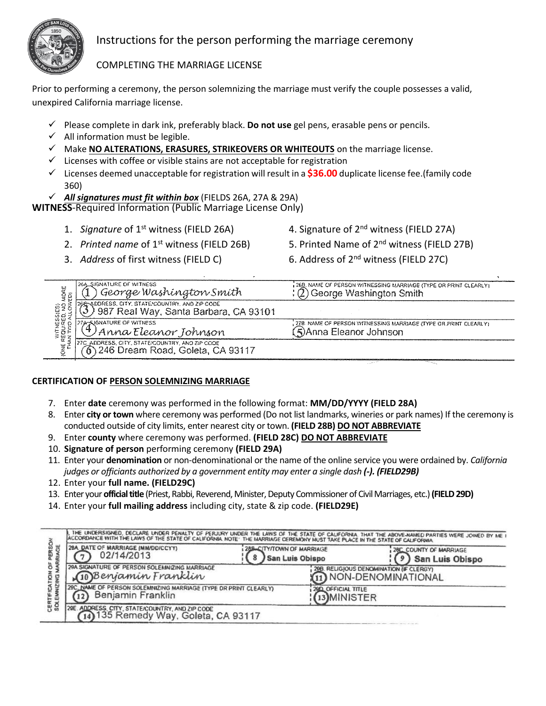

# Instructions for the person performing the marriage ceremony

# COMPLETING THE MARRIAGE LICENSE

Prior to performing a ceremony, the person solemnizing the marriage must verify the couple possesses a valid, unexpired California marriage license.

- ✓ Please complete in dark ink, preferably black. **Do not use** gel pens, erasable pens or pencils.
- $\checkmark$  All information must be legible.
- ✓ Make **NO ALTERATIONS, ERASURES, STRIKEOVERS OR WHITEOUTS** on the marriage license.
- $\checkmark$  Licenses with coffee or visible stains are not acceptable for registration
- ✓ Licenses deemed unacceptable for registration will result in a **\$36.00** duplicate license fee.(family code 360)
- ✓ *All signatures must fit within box* (FIELDS 26A, 27A & 29A)

**WITNESS**-Required Information (Public Marriage License Only)

- 
- 2. *Printed name* of 1<sup>st</sup> witness (FIELD 26B) 5. Printed Name of 2<sup>nd</sup> witness (FIELD 27B)
- 
- 1. *Signature* of 1<sup>st</sup> witness (FIELD 26A) 4. Signature of 2<sup>nd</sup> witness (FIELD 27A)
	-
- 3. *Address* of first witness (FIELD C) 6. Address of 2nd witness (FIELD 27C)

| adae<br>Voq                     | 26A_SJ6NATURE OF WITHESS<br>George Washington Smith                                     | , 200. Nave of Person withessing Marriage (Type or print clearly).<br>George Washington Smith |
|---------------------------------|-----------------------------------------------------------------------------------------|-----------------------------------------------------------------------------------------------|
| នេះនោះ<br>ខេត្ត សេ<br>ស្រុកស្រុ | 26E-5DORESS, CITY, STATE COUNTRY, AND ZIP CODE<br>987 Real Way, Santa Barbara, CA 93101 |                                                                                               |
| <b>WITHER</b><br>REQUAR         | 27A-530NATURE OF WITHESS<br>) Anna Eleanor Johnson                                      | 278. NAME OF PERSON WITHESSING MARRIAGE (TYPE OR PRINT CLEARLY)<br>(5)Anna Eleanor Johnson    |
| ىيا                             | 27C ADDRESS, CITY, STATE/COUNTRY, AND ZIP COOE<br>246 Dream Road, Goleta, CA 93117      |                                                                                               |

## **CERTIFICATION OF PERSON SOLEMNIZING MARRIAGE**

- 7. Enter **date** ceremony was performed in the following format: **MM/DD/YYYY (FIELD 28A)**
- 8. Enter **city or town** where ceremony was performed (Do not list landmarks, wineries or park names) If the ceremony is conducted outside of city limits, enter nearest city or town. **(FIELD 28B) DO NOT ABBREVIATE**
- 9. Enter **county** where ceremony was performed. **(FIELD 28C) DO NOT ABBREVIATE**
- 10. **Signature of person** performing ceremony **(FIELD 29A)**
- 11. Enter your **denomination** or non-denominational or the name of the online service you were ordained by. *California judges or officiants authorized by a government entity may enter a single dash (-). (FIELD29B)*
- 12. Enter your **full name. (FIELD29C)**
- 13. Enter your **official title** (Priest, Rabbi, Reverend, Minister, Deputy Commissionerof Civil Marriages, etc.)**(FIELD 29D)**
- 14. Enter your **full mailing address** including city, state & zip code. **(FIELD29E)**

| š<br>ö<br>ã<br>CATIOI<br>VIZING<br>面 | THE UNDERSIGNED, DECLARE UNDER PENALTY OF PERJURY UNDER THE LAWS OF THE STATE OF CALIFORNIA. THAT THE ABOVE-RAMED PARTIES WERE JOINED BY ME I<br>ACCORDANCE WITH THE LAWS OF THE STATE OF CALIFORNIA, NOTE THE MARRIAGE CEREMONY MUST TAKE PLACE IN THE STATE OF CALIFORNIA |                                                     |                                                                   |                                            |  |
|--------------------------------------|-----------------------------------------------------------------------------------------------------------------------------------------------------------------------------------------------------------------------------------------------------------------------------|-----------------------------------------------------|-------------------------------------------------------------------|--------------------------------------------|--|
|                                      | 28A. DATE OF MARRIAGE (MM/DD/CCYY)<br>02/14/2013                                                                                                                                                                                                                            | 288-CITY/TOWN OF MARRIAGE<br><b>San Luis Obispo</b> |                                                                   | 28C, COUNTY OF MARRIAGE<br>San Luis Obispo |  |
|                                      | 29A SIGNATURE OF PERSON SOLEMNIZING MARRIAGE<br>10Benjamin Franklin                                                                                                                                                                                                         |                                                     | 29B. RELIGIOUS DENOMINATION (IF CLERGY)<br>11) NON-DENOMINATIONAL |                                            |  |
|                                      | 29C, NAME OF PERSON SOLEMNIZING MARRIAGE (TYPE OR PRINT CLEARLY)<br>Benjamin Franklin                                                                                                                                                                                       |                                                     | 200 OFFICIAL TITLE<br>13 MINISTER                                 |                                            |  |
| <b>CERT</b>                          | 29E. ADDRESS. CITY, STATE COUNTRY, AND ZIP CODE<br>(14) 135 Remedy Way, Goleta, CA 93117                                                                                                                                                                                    |                                                     |                                                                   |                                            |  |